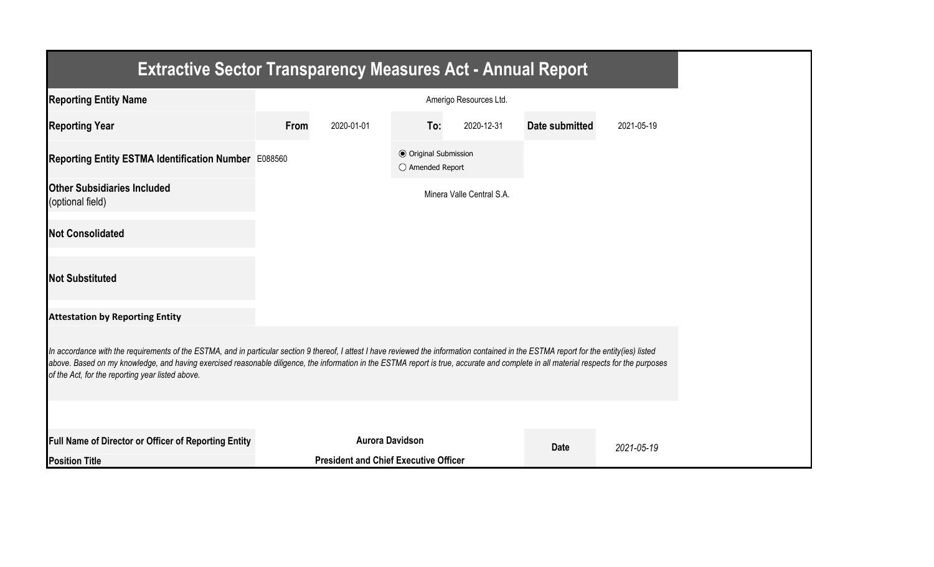| <b>Extractive Sector Transparency Measures Act - Annual Report</b>                                                                                                                                                                                                                                                                                                                                                                    |      |                                              |                                                  |                           |                |            |
|---------------------------------------------------------------------------------------------------------------------------------------------------------------------------------------------------------------------------------------------------------------------------------------------------------------------------------------------------------------------------------------------------------------------------------------|------|----------------------------------------------|--------------------------------------------------|---------------------------|----------------|------------|
| <b>Reporting Entity Name</b>                                                                                                                                                                                                                                                                                                                                                                                                          |      |                                              |                                                  | Amerigo Resources Ltd.    |                |            |
| <b>Reporting Year</b>                                                                                                                                                                                                                                                                                                                                                                                                                 | From | 2020-01-01                                   | To:                                              | 2020-12-31                | Date submitted | 2021-05-19 |
| Reporting Entity ESTMA Identification Number E088560                                                                                                                                                                                                                                                                                                                                                                                  |      |                                              | <b>● Original Submission</b><br>○ Amended Report |                           |                |            |
| <b>Other Subsidiaries Included</b><br>(optional field)                                                                                                                                                                                                                                                                                                                                                                                |      |                                              |                                                  | Minera Valle Central S.A. |                |            |
| <b>Not Consolidated</b>                                                                                                                                                                                                                                                                                                                                                                                                               |      |                                              |                                                  |                           |                |            |
| <b>Not Substituted</b>                                                                                                                                                                                                                                                                                                                                                                                                                |      |                                              |                                                  |                           |                |            |
| <b>Attestation by Reporting Entity</b>                                                                                                                                                                                                                                                                                                                                                                                                |      |                                              |                                                  |                           |                |            |
| In accordance with the requirements of the ESTMA, and in particular section 9 thereof, I attest I have reviewed the information contained in the ESTMA report for the entity(ies) listed<br>above. Based on my knowledge, and having exercised reasonable diligence, the information in the ESTMA report is true, accurate and complete in all material respects for the purposes<br>of the Act, for the reporting year listed above. |      |                                              |                                                  |                           |                |            |
|                                                                                                                                                                                                                                                                                                                                                                                                                                       |      |                                              |                                                  |                           |                |            |
| <b>Full Name of Director or Officer of Reporting Entity</b>                                                                                                                                                                                                                                                                                                                                                                           |      | <b>Aurora Davidson</b>                       |                                                  |                           | <b>Date</b>    | 2021-05-19 |
| <b>Position Title</b>                                                                                                                                                                                                                                                                                                                                                                                                                 |      | <b>President and Chief Executive Officer</b> |                                                  |                           |                |            |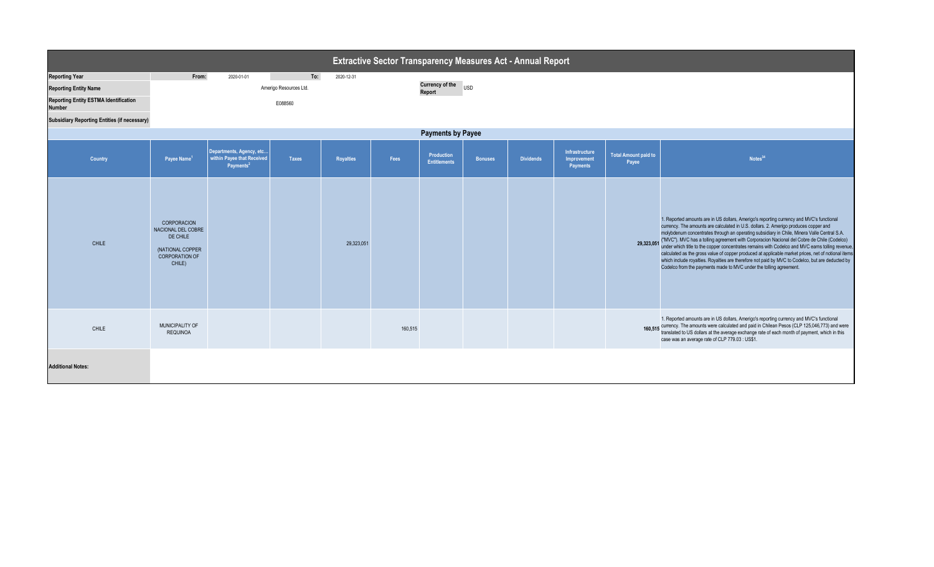|                                                                                                                                                                               | <b>Extractive Sector Transparency Measures Act - Annual Report</b>                                   |                                                                                 |                                          |                  |         |                                   |                |                  |                                           |                                      |                                                                                                                                                                                                                                                                                                                                                                                                                                                                                                                                                                                                                                                                                                                                                                                |
|-------------------------------------------------------------------------------------------------------------------------------------------------------------------------------|------------------------------------------------------------------------------------------------------|---------------------------------------------------------------------------------|------------------------------------------|------------------|---------|-----------------------------------|----------------|------------------|-------------------------------------------|--------------------------------------|--------------------------------------------------------------------------------------------------------------------------------------------------------------------------------------------------------------------------------------------------------------------------------------------------------------------------------------------------------------------------------------------------------------------------------------------------------------------------------------------------------------------------------------------------------------------------------------------------------------------------------------------------------------------------------------------------------------------------------------------------------------------------------|
| <b>Reporting Year</b><br><b>Reporting Entity Name</b><br><b>Reporting Entity ESTMA Identification</b><br><b>Number</b><br><b>Subsidiary Reporting Entities (if necessary)</b> | From:                                                                                                | 2020-01-01                                                                      | To:<br>Amerigo Resources Ltd.<br>E088560 | 2020-12-31       |         | <b>Currency of the</b><br>Report  | <b>USD</b>     |                  |                                           |                                      |                                                                                                                                                                                                                                                                                                                                                                                                                                                                                                                                                                                                                                                                                                                                                                                |
| <b>Payments by Payee</b>                                                                                                                                                      |                                                                                                      |                                                                                 |                                          |                  |         |                                   |                |                  |                                           |                                      |                                                                                                                                                                                                                                                                                                                                                                                                                                                                                                                                                                                                                                                                                                                                                                                |
| Country                                                                                                                                                                       | Payee Name <sup>1</sup>                                                                              | Departments, Agency, etc<br>within Payee that Received<br>Payments <sup>2</sup> | <b>Taxes</b>                             | <b>Royalties</b> | Fees    | Production<br><b>Entitlements</b> | <b>Bonuses</b> | <b>Dividends</b> | Infrastructure<br>Improvement<br>Payments | <b>Total Amount paid to</b><br>Payee | Notes <sup>34</sup>                                                                                                                                                                                                                                                                                                                                                                                                                                                                                                                                                                                                                                                                                                                                                            |
| <b>CHILE</b>                                                                                                                                                                  | CORPORACION<br>NACIONAL DEL COBRE<br>DE CHILE<br>(NATIONAL COPPER<br><b>CORPORATION OF</b><br>CHILE) |                                                                                 |                                          | 29,323,051       |         |                                   |                |                  |                                           |                                      | 1. Reported amounts are in US dollars, Amerigo's reporting currency and MVC's functional<br>currency. The amounts are calculated in U.S. dollars. 2. Amerigo produces copper and<br>molybdenum concentrates through an operating subsidiary in Chile, Minera Valle Central S.A.<br>29,323,051 ("MVC"). MVC has a tolling agreement with Corporacion Nacional del Cobre de Chile (Codelco)<br>under which title to the copper concentrates remains with Codelco and MVC earns tolling revenue,<br>calculated as the gross value of copper produced at applicable market prices, net of notional items<br>which include royalties. Royalties are therefore not paid by MVC to Codelco, but are deducted by<br>Codelco from the payments made to MVC under the tolling agreement. |
| <b>CHILE</b>                                                                                                                                                                  | MUNICIPALITY OF<br><b>REQUINOA</b>                                                                   |                                                                                 |                                          |                  | 160,515 |                                   |                |                  |                                           |                                      | 1. Reported amounts are in US dollars, Amerigo's reporting currency and MVC's functional<br>160,515 currency. The amounts were calculated and paid in Chilean Pesos (CLP 125,046,773) and were<br>160,515 translated to US dollars at the average exchange rate of each month of payment, which in this<br>case was an average rate of CLP 779.03 : US\$1.                                                                                                                                                                                                                                                                                                                                                                                                                     |
| <b>Additional Notes:</b>                                                                                                                                                      |                                                                                                      |                                                                                 |                                          |                  |         |                                   |                |                  |                                           |                                      |                                                                                                                                                                                                                                                                                                                                                                                                                                                                                                                                                                                                                                                                                                                                                                                |